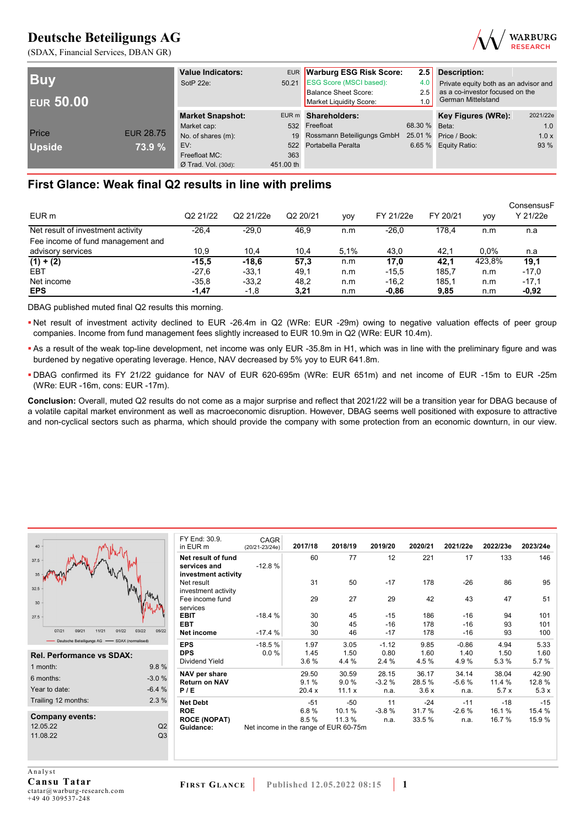## **Deutsche Beteiligungs AG**





ConsensusF

| <b>Buy</b><br><b>EUR 50.00</b> |                  | <b>Value Indicators:</b><br>SotP 22e: |           | EUR Warburg ESG Risk Score:<br>50.21 ESG Score (MSCI based):<br>Balance Sheet Score:<br>Market Liquidity Score: | 2.5<br>4.0<br>2.5<br>1.0 | <b>Description:</b><br>Private equity both as an advisor and<br>as a co-investor focused on the<br><b>German Mittelstand</b> |          |
|--------------------------------|------------------|---------------------------------------|-----------|-----------------------------------------------------------------------------------------------------------------|--------------------------|------------------------------------------------------------------------------------------------------------------------------|----------|
|                                |                  | <b>Market Snapshot:</b>               |           | EUR m Shareholders:                                                                                             |                          | Key Figures (WRe):                                                                                                           | 2021/22e |
|                                |                  | Market cap:                           |           | 532 Freefloat                                                                                                   | 68.30 % Beta:            |                                                                                                                              | 1.0      |
| Price                          | <b>EUR 28.75</b> | No. of shares (m):                    |           | 19 Rossmann Beteiligungs GmbH                                                                                   |                          | 25.01 % Price / Book:                                                                                                        | 1.0x     |
| <b>Upside</b>                  | 73.9 %           | EV:                                   |           | 522 Portabella Peralta                                                                                          |                          | 6.65 % Equity Ratio:                                                                                                         | 93 %     |
|                                |                  | Freefloat MC:                         | 363       |                                                                                                                 |                          |                                                                                                                              |          |
|                                |                  | $Ø$ Trad. Vol. (30d):                 | 451.00 th |                                                                                                                 |                          |                                                                                                                              |          |

### **First Glance: Weak final Q2 results in line with prelims**

| EUR <sub>m</sub>                  | Q2 21/22 | Q2 21/22e | Q2 20/21 | <b>VOV</b> | FY 21/22e | FY 20/21 | yoy     | ConsensusF<br>Y 21/22e |
|-----------------------------------|----------|-----------|----------|------------|-----------|----------|---------|------------------------|
| Net result of investment activity | $-26.4$  | $-29.0$   | 46.9     | n.m        | $-26.0$   | 178.4    | n.m     | n.a                    |
| Fee income of fund management and |          |           |          |            |           |          |         |                        |
| advisory services                 | 10.9     | 10.4      | 10,4     | 5,1%       | 43,0      | 42.1     | $0.0\%$ | n.a                    |
| $(1) + (2)$                       | $-15.5$  | $-18,6$   | 57,3     | n.m        | 17,0      | 42.1     | 423,8%  | 19,1                   |
| EBT                               | $-27.6$  | $-33.1$   | 49.1     | n.m        | $-15.5$   | 185,7    | n.m     | $-17,0$                |
| Net income                        | $-35.8$  | $-33.2$   | 48.2     | n.m        | $-16.2$   | 185.1    | n.m     | $-17.1$                |
| <b>EPS</b>                        | $-1,47$  | -1,8      | 3,21     | n.m        | $-0.86$   | 9,85     | n.m     | $-0,92$                |

DBAG published muted final Q2 results this morning.

- Net result of investment activity declined to EUR -26.4m in Q2 (WRe: EUR -29m) owing to negative valuation effects of peer group companies. Income from fund management fees slightly increased to EUR 10.9m in Q2 (WRe: EUR 10.4m).
- As a result of the weak top-line development, net income was only EUR -35.8m in H1, which was in line with the preliminary figure and was burdened by negative operating leverage. Hence, NAV decreased by 5% yoy to EUR 641.8m.
- DBAG confirmed its FY 21/22 guidance for NAV of EUR 620-695m (WRe: EUR 651m) and net income of EUR -15m to EUR -25m (WRe: EUR -16m, cons: EUR -17m).

**Conclusion:** Overall, muted Q2 results do not come as a major surprise and reflect that 2021/22 will be a transition year for DBAG because of a volatile capital market environment as well as macroeconomic disruption. However, DBAG seems well positioned with exposure to attractive and non-cyclical sectors such as pharma, which should provide the company with some protection from an economic downturn, in our view.

| 40<br>37.5<br>35<br>32.5<br>$30 -$<br>$27.5 -$                                   |                |
|----------------------------------------------------------------------------------|----------------|
| 07/21<br>09/21<br>11/21<br>01/22<br>Deutsche Beteiligungs AG - SDAX (normalised) | 03/22<br>05/22 |
|                                                                                  |                |
| <b>Rel. Performance vs SDAX:</b>                                                 |                |
| 1 month:                                                                         | 9.8%           |
| 6 months:                                                                        | $-3.0%$        |
| Year to date:                                                                    | $-6.4%$        |
| Trailing 12 months:                                                              | 2.3%           |
|                                                                                  |                |

| FY End: 30.9.        | <b>CAGR</b>                           |         |         |         |         |          |          |          |
|----------------------|---------------------------------------|---------|---------|---------|---------|----------|----------|----------|
| in EUR m             | $(20/21 - 23/24e)$                    | 2017/18 | 2018/19 | 2019/20 | 2020/21 | 2021/22e | 2022/23e | 2023/24e |
| Net result of fund   |                                       | 60      | 77      | 12      | 221     | 17       | 133      | 146      |
| services and         | $-12.8%$                              |         |         |         |         |          |          |          |
| investment activity  |                                       |         |         |         |         |          |          |          |
| Net result           |                                       | 31      | 50      | $-17$   | 178     | $-26$    | 86       | 95       |
|                      |                                       |         |         |         |         |          |          |          |
| investment activity  |                                       |         |         |         |         |          |          |          |
| Fee income fund      |                                       | 29      | 27      | 29      | 42      | 43       | 47       | 51       |
| services             |                                       |         |         |         |         |          |          |          |
| <b>EBIT</b>          | $-18.4%$                              | 30      | 45      | $-15$   | 186     | $-16$    | 94       | 101      |
| <b>EBT</b>           |                                       | 30      | 45      | $-16$   | 178     | $-16$    | 93       | 101      |
| Net income           | $-17.4%$                              | 30      | 46      | $-17$   | 178     | $-16$    | 93       | 100      |
| <b>EPS</b>           | $-18.5%$                              | 1.97    | 3.05    | $-1.12$ | 9.85    | $-0.86$  | 4.94     | 5.33     |
| <b>DPS</b>           | 0.0%                                  | 1.45    | 1.50    | 0.80    | 1.60    | 1.40     | 1.50     | 1.60     |
| Dividend Yield       |                                       | 3.6%    | 4.4 %   | 2.4 %   | 4.5 %   | 4.9%     | 5.3 %    | 5.7%     |
| NAV per share        |                                       | 29.50   | 30.59   | 28.15   | 36.17   | 34.14    | 38.04    | 42.90    |
| <b>Return on NAV</b> |                                       | 9.1%    | 9.0%    | $-3.2%$ | 28.5%   | $-5.6%$  | 11.4 %   | 12.8%    |
| P/E                  |                                       | 20.4 x  | 11.1 x  | n.a.    | 3.6x    | n.a.     | 5.7x     | 5.3x     |
| <b>Net Debt</b>      |                                       | -51     | $-50$   | 11      | $-24$   | $-11$    | $-18$    | $-15$    |
| <b>ROE</b>           |                                       | 6.8%    | 10.1%   | $-3.8%$ | 31.7%   | $-2.6%$  | 16.1 %   | 15.4 %   |
| <b>ROCE (NOPAT)</b>  |                                       | 8.5%    | 11.3 %  | n.a.    | 33.5 %  | n.a.     | 16.7%    | 15.9%    |
| Guidance:            | Net income in the range of EUR 60-75m |         |         |         |         |          |          |          |
|                      |                                       |         |         |         |         |          |          |          |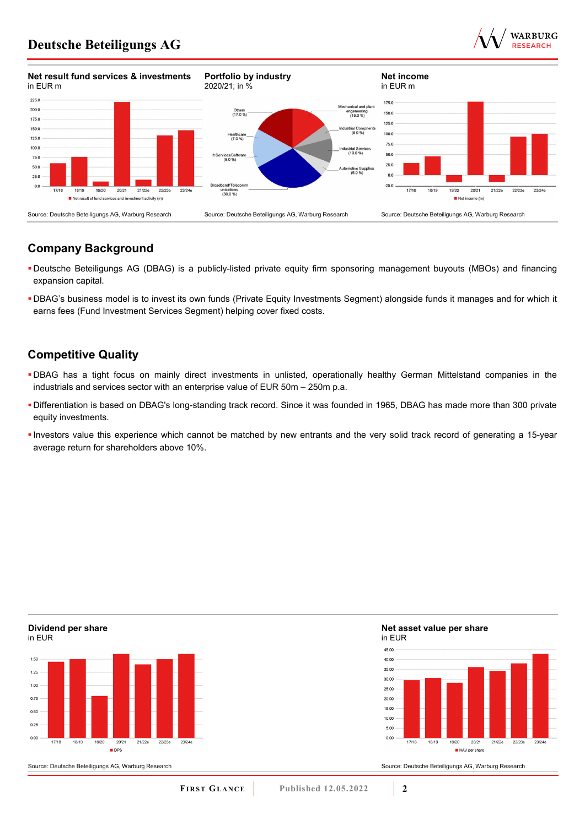



### **Company Background**

- Deutsche Beteiligungs AG (DBAG) is a publicly-listed private equity firm sponsoring management buyouts (MBOs) and financing expansion capital.
- DBAG's business model is to invest its own funds (Private Equity Investments Segment) alongside funds it manages and for which it earns fees (Fund Investment Services Segment) helping cover fixed costs.

### **Competitive Quality**

- DBAG has a tight focus on mainly direct investments in unlisted, operationally healthy German Mittelstand companies in the industrials and services sector with an enterprise value of EUR 50m – 250m p.a.
- Differentiation is based on DBAG's long-standing track record. Since it was founded in 1965, DBAG has made more than 300 private equity investments.
- Investors value this experience which cannot be matched by new entrants and the very solid track record of generating a 15-year average return for shareholders above 10%.



**Dividend per share**

### **Net asset value per share**



RESEARCH

**WARBURG** 

Source: Deutsche Beteiligungs AG, Warburg Research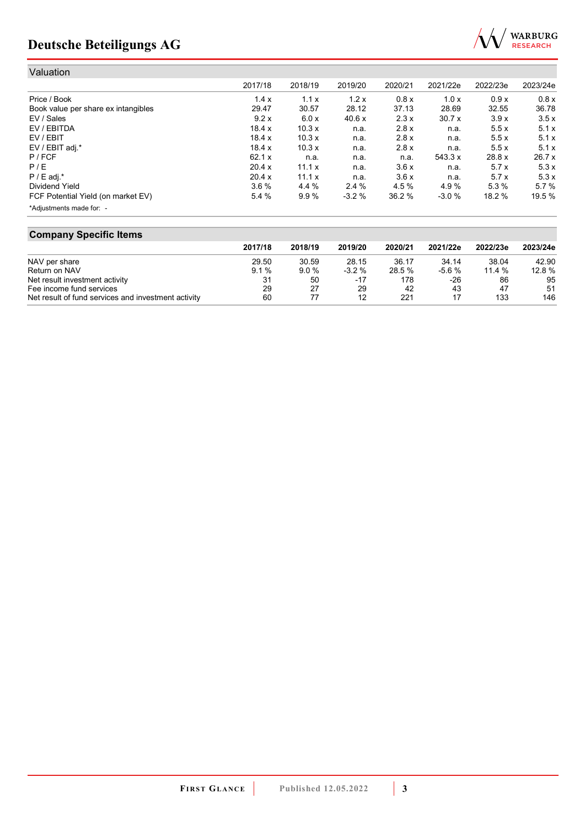# **Deutsche Beteiligungs AG**



| Valuation                           |         |               |         |         |          |          |          |
|-------------------------------------|---------|---------------|---------|---------|----------|----------|----------|
|                                     | 2017/18 | 2018/19       | 2019/20 | 2020/21 | 2021/22e | 2022/23e | 2023/24e |
| Price / Book                        | 1.4x    | 1.1x          | 1.2x    | 0.8x    | 1.0x     | 0.9x     | 0.8x     |
| Book value per share ex intangibles | 29.47   | 30.57         | 28.12   | 37.13   | 28.69    | 32.55    | 36.78    |
| EV / Sales                          | 9.2x    | 6.0 x         | 40.6 x  | 2.3x    | 30.7x    | 3.9x     | 3.5x     |
| EV / EBITDA                         | 18.4 x  | 10.3x         | n.a.    | 2.8x    | n.a.     | 5.5x     | 5.1x     |
| EV / EBIT                           | 18.4 x  | 10.3x         | n.a.    | 2.8x    | n.a.     | 5.5x     | 5.1x     |
| EV / EBIT adj.*                     | 18.4 x  | 10.3x         | n.a.    | 2.8x    | n.a.     | 5.5x     | 5.1x     |
| P / FCF                             | 62.1 x  | n.a.          | n.a.    | n.a.    | 543.3 x  | 28.8 x   | 26.7x    |
| P/E                                 | 20.4 x  | 11.1 $\times$ | n.a.    | 3.6x    | n.a.     | 5.7x     | 5.3x     |
| $P / E$ adj.*                       | 20.4 x  | 11.1 x        | n.a.    | 3.6x    | n.a.     | 5.7x     | 5.3x     |
| Dividend Yield                      | 3.6%    | 4.4 %         | 2.4%    | 4.5 %   | 4.9%     | 5.3%     | 5.7%     |
| FCF Potential Yield (on market EV)  | 5.4%    | 9.9%          | $-3.2%$ | 36.2 %  | $-3.0%$  | 18.2 %   | 19.5 %   |
| *Adjustments made for: -            |         |               |         |         |          |          |          |

### **Company Specific Items**

|                                                     | 2017/18 | 2018/19 | 2019/20 | 2020/21 | 2021/22e | 2022/23e | 2023/24e |
|-----------------------------------------------------|---------|---------|---------|---------|----------|----------|----------|
| NAV per share                                       | 29.50   | 30.59   | 28.15   | 36.17   | 34.14    | 38.04    | 42.90    |
| Return on NAV                                       | 9.1%    | 9.0%    | $-3.2%$ | 28.5 %  | $-5.6%$  | 11.4%    | 12.8 %   |
| Net result investment activity                      | 31      | 50      | -17     | 178     | $-26$    | 86       | 95       |
| Fee income fund services                            | 29      | 27      | 29      | 42      | 43       | 47       | 51       |
| Net result of fund services and investment activity | 60      |         | 12      | 221     |          | 133      | 146      |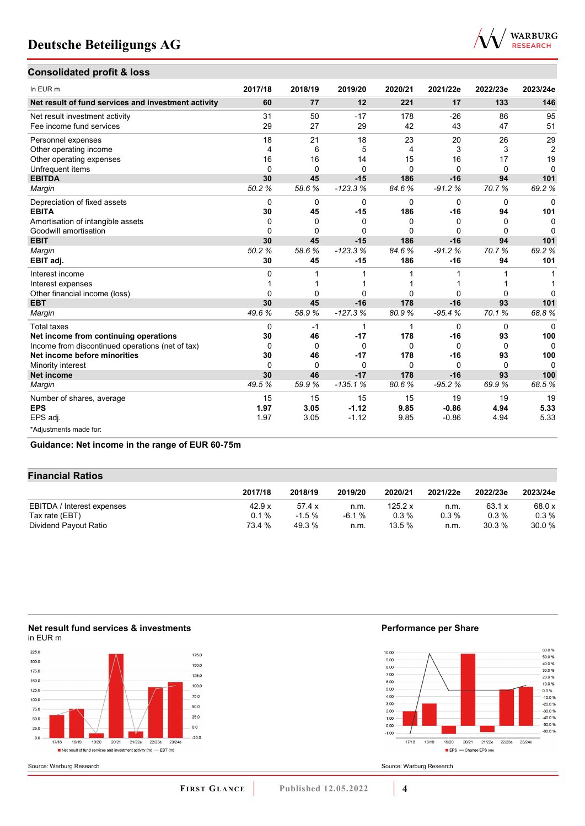

### **Consolidated profit & loss**

| In EUR <sub>m</sub>                                 | 2017/18  | 2018/19  | 2019/20   | 2020/21  | 2021/22e | 2022/23e | 2023/24e       |
|-----------------------------------------------------|----------|----------|-----------|----------|----------|----------|----------------|
| Net result of fund services and investment activity | 60       | 77       | 12        | 221      | 17       | 133      | 146            |
| Net result investment activity                      | 31       | 50       | $-17$     | 178      | $-26$    | 86       | 95             |
| Fee income fund services                            | 29       | 27       | 29        | 42       | 43       | 47       | 51             |
| Personnel expenses                                  | 18       | 21       | 18        | 23       | 20       | 26       | 29             |
| Other operating income                              | 4        | 6        | 5         | 4        | 3        | 3        | $\overline{2}$ |
| Other operating expenses                            | 16       | 16       | 14        | 15       | 16       | 17       | 19             |
| Unfrequent items                                    | $\Omega$ | $\Omega$ | $\Omega$  | 0        | $\Omega$ | $\Omega$ | $\Omega$       |
| <b>EBITDA</b>                                       | 30       | 45       | $-15$     | 186      | $-16$    | 94       | 101            |
| Margin                                              | 50.2%    | 58.6%    | $-123.3%$ | 84.6%    | $-91.2%$ | 70.7%    | 69.2%          |
| Depreciation of fixed assets                        | 0        | $\Omega$ | $\Omega$  | $\Omega$ | $\Omega$ | $\Omega$ | $\Omega$       |
| <b>EBITA</b>                                        | 30       | 45       | $-15$     | 186      | $-16$    | 94       | 101            |
| Amortisation of intangible assets                   | 0        | $\Omega$ | 0         | 0        | 0        | 0        | 0              |
| Goodwill amortisation                               | 0        | $\Omega$ | 0         | 0        | 0        | $\Omega$ | $\Omega$       |
| <b>EBIT</b>                                         | 30       | 45       | $-15$     | 186      | $-16$    | 94       | 101            |
| Margin                                              | 50.2%    | 58.6%    | $-123.3%$ | 84.6%    | $-91.2%$ | 70.7%    | 69.2%          |
| EBIT adj.                                           | 30       | 45       | $-15$     | 186      | $-16$    | 94       | 101            |
| Interest income                                     | 0        |          |           |          |          |          |                |
| Interest expenses                                   |          |          |           |          |          |          |                |
| Other financial income (loss)                       | 0        | $\Omega$ | 0         | 0        | 0        | $\Omega$ | $\Omega$       |
| <b>EBT</b>                                          | 30       | 45       | $-16$     | 178      | $-16$    | 93       | 101            |
| Margin                                              | 49.6%    | 58.9%    | $-127.3%$ | 80.9%    | $-95.4%$ | 70.1%    | 68.8%          |
| <b>Total taxes</b>                                  | 0        | $-1$     | 1         | 1        | 0        | 0        | 0              |
| Net income from continuing operations               | 30       | 46       | $-17$     | 178      | $-16$    | 93       | 100            |
| Income from discontinued operations (net of tax)    | $\Omega$ | $\Omega$ | 0         | $\Omega$ | $\Omega$ | $\Omega$ | $\Omega$       |
| Net income before minorities                        | 30       | 46       | $-17$     | 178      | $-16$    | 93       | 100            |
| Minority interest                                   | $\Omega$ | $\Omega$ | 0         | $\Omega$ | $\Omega$ | $\Omega$ | $\Omega$       |
| <b>Net income</b>                                   | 30       | 46       | $-17$     | 178      | $-16$    | 93       | 100            |
| Margin                                              | 49.5%    | 59.9%    | $-135.1%$ | 80.6%    | $-95.2%$ | 69.9%    | 68.5%          |
| Number of shares, average                           | 15       | 15       | 15        | 15       | 19       | 19       | 19             |
| <b>EPS</b>                                          | 1.97     | 3.05     | $-1.12$   | 9.85     | $-0.86$  | 4.94     | 5.33           |
| EPS adj.                                            | 1.97     | 3.05     | $-1.12$   | 9.85     | $-0.86$  | 4.94     | 5.33           |
| *Adjustments made for:                              |          |          |           |          |          |          |                |

**Guidance: Net income in the range of EUR 60-75m**

#### **Financial Ratios**

|                            | 2017/18 | 2018/19   | 2019/20 | 2020/21 | 2021/22e | 2022/23e | 2023/24e |
|----------------------------|---------|-----------|---------|---------|----------|----------|----------|
| EBITDA / Interest expenses | 42.9 x  | 57.4 x    | n.m.    | 125.2 x | n.m.     | 63.1 x   | 68.0 x   |
| Tax rate (EBT)             | $0.1\%$ | $-1.5 \%$ | $-6.1%$ | $0.3\%$ | 0.3%     | $0.3\%$  | $0.3\%$  |
| Dividend Payout Ratio      | 73.4 %  | 49.3 %    | n.m.    | 13.5%   | n.m.     | 30.3 %   | 30.0 %   |



**Net result fund services & investments** 

Source: Warburg Research

#### **Performance per Share**



Source: Warburg Research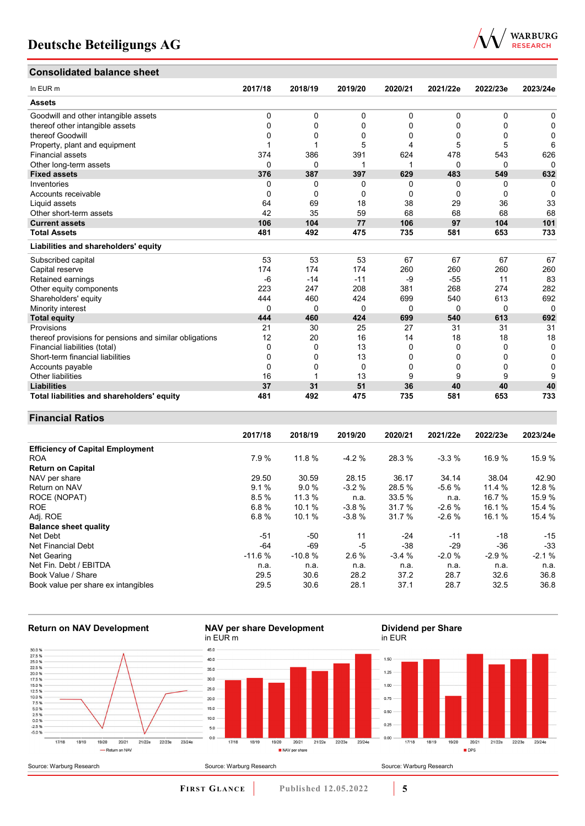

### **Consolidated balance sheet**

| In EUR <sub>m</sub>                                     | 2017/18  | 2018/19      | 2019/20 | 2020/21 | 2021/22e | 2022/23e     | 2023/24e |
|---------------------------------------------------------|----------|--------------|---------|---------|----------|--------------|----------|
| <b>Assets</b>                                           |          |              |         |         |          |              |          |
| Goodwill and other intangible assets                    | 0        | 0            | 0       | 0       | 0        | 0            | 0        |
| thereof other intangible assets                         | 0        | 0            | 0       | በ       | 0        | 0            | 0        |
| thereof Goodwill                                        | 0        | 0            | 0       | 0       | $\Omega$ | 0            | 0        |
| Property, plant and equipment                           |          |              | 5       | 4       | 5        | 5            | 6        |
| <b>Financial assets</b>                                 | 374      | 386          | 391     | 624     | 478      | 543          | 626      |
| Other long-term assets                                  | $\Omega$ | 0            |         | 1       | 0        | 0            | $\Omega$ |
| <b>Fixed assets</b>                                     | 376      | 387          | 397     | 629     | 483      | 549          | 632      |
| Inventories                                             | 0        | 0            | 0       | 0       | 0        | 0            | 0        |
| Accounts receivable                                     | 0        | 0            | 0       | 0       | $\Omega$ | $\Omega$     | $\Omega$ |
| Liquid assets                                           | 64       | 69           | 18      | 38      | 29       | 36           | 33       |
| Other short-term assets                                 | 42       | 35           | 59      | 68      | 68       | 68           | 68       |
| <b>Current assets</b>                                   | 106      | 104          | 77      | 106     | 97       | 104          | 101      |
| <b>Total Assets</b>                                     | 481      | 492          | 475     | 735     | 581      | 653          | 733      |
| Liabilities and shareholders' equity                    |          |              |         |         |          |              |          |
| Subscribed capital                                      | 53       | 53           | 53      | 67      | 67       | 67           | 67       |
| Capital reserve                                         | 174      | 174          | 174     | 260     | 260      | 260          | 260      |
| Retained earnings                                       | $-6$     | $-14$        | $-11$   | $-9$    | $-55$    | 11           | 83       |
| Other equity components                                 | 223      | 247          | 208     | 381     | 268      | 274          | 282      |
| Shareholders' equity                                    | 444      | 460          | 424     | 699     | 540      | 613          | 692      |
| Minority interest                                       | $\Omega$ | $\mathbf{0}$ | 0       | 0       | 0        | $\mathbf{0}$ | $\Omega$ |
| <b>Total equity</b>                                     | 444      | 460          | 424     | 699     | 540      | 613          | 692      |
| Provisions                                              | 21       | 30           | 25      | 27      | 31       | 31           | 31       |
| thereof provisions for pensions and similar obligations | 12       | 20           | 16      | 14      | 18       | 18           | 18       |
| Financial liabilities (total)                           | 0        | 0            | 13      | 0       | 0        | 0            | 0        |
| Short-term financial liabilities                        | 0        | 0            | 13      | 0       | 0        | 0            | 0        |
| Accounts payable                                        | 0        | 0            | 0       | 0       | 0        | 0            | 0        |
| <b>Other liabilities</b>                                | 16       |              | 13      | 9       | 9        | 9            | 9        |
| <b>Liabilities</b>                                      | 37       | 31           | 51      | 36      | 40       | 40           | 40       |
| Total liabilities and shareholders' equity              | 481      | 492          | 475     | 735     | 581      | 653          | 733      |

#### **Financial Ratios**

|                                         | 2017/18  | 2018/19  | 2019/20 | 2020/21 | 2021/22e | 2022/23e | 2023/24e |
|-----------------------------------------|----------|----------|---------|---------|----------|----------|----------|
| <b>Efficiency of Capital Employment</b> |          |          |         |         |          |          |          |
| <b>ROA</b>                              | 7.9 %    | 11.8 %   | $-4.2%$ | 28.3 %  | $-3.3%$  | 16.9%    | 15.9 %   |
| <b>Return on Capital</b>                |          |          |         |         |          |          |          |
| NAV per share                           | 29.50    | 30.59    | 28.15   | 36.17   | 34.14    | 38.04    | 42.90    |
| Return on NAV                           | 9.1%     | 9.0%     | $-3.2%$ | 28.5 %  | $-5.6%$  | 11.4 %   | 12.8 %   |
| ROCE (NOPAT)                            | 8.5%     | 11.3 %   | n.a.    | 33.5%   | n.a.     | 16.7 %   | 15.9 %   |
| <b>ROE</b>                              | 6.8%     | 10.1 %   | $-3.8%$ | 31.7 %  | $-2.6%$  | 16.1%    | 15.4 %   |
| Adj. ROE                                | 6.8%     | 10.1 %   | $-3.8%$ | 31.7 %  | $-2.6%$  | 16.1%    | 15.4 %   |
| <b>Balance sheet quality</b>            |          |          |         |         |          |          |          |
| Net Debt                                | $-51$    | -50      | 11      | $-24$   | $-11$    | $-18$    | $-15$    |
| Net Financial Debt                      | $-64$    | -69      | $-5$    | $-38$   | $-29$    | $-36$    | $-33$    |
| Net Gearing                             | $-11.6%$ | $-10.8%$ | 2.6 %   | $-3.4%$ | $-2.0%$  | $-2.9%$  | $-2.1%$  |
| Net Fin. Debt / EBITDA                  | n.a.     | n.a.     | n.a.    | n.a.    | n.a.     | n.a.     | n.a.     |
| Book Value / Share                      | 29.5     | 30.6     | 28.2    | 37.2    | 28.7     | 32.6     | 36.8     |
| Book value per share ex intangibles     | 29.5     | 30.6     | 28.1    | 37.1    | 28.7     | 32.5     | 36.8     |



**FIRST GLANCE** Published 12.05.2022 **5**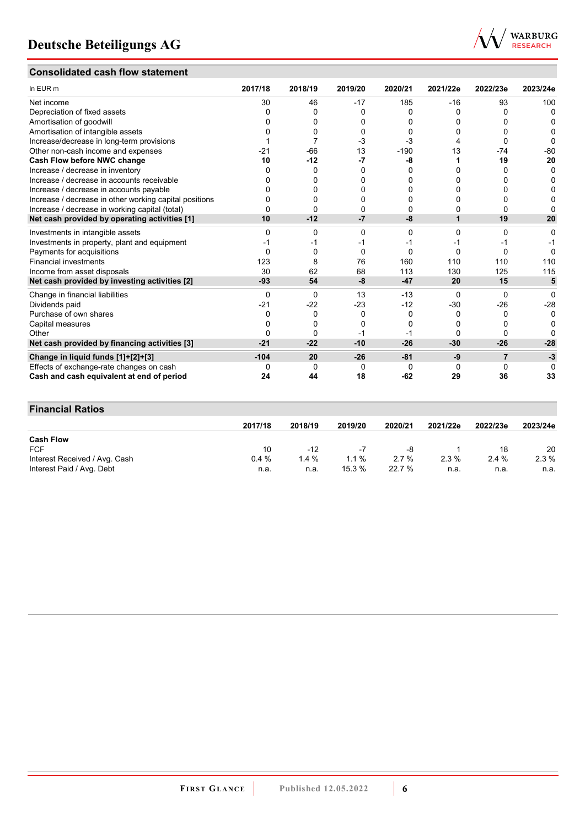### **Consolidated cash flow statement**



| In EUR m                                               | 2017/18  | 2018/19 | 2019/20      | 2020/21      | 2021/22e | 2022/23e       | 2023/24e |
|--------------------------------------------------------|----------|---------|--------------|--------------|----------|----------------|----------|
| Net income                                             | 30       | 46      | $-17$        | 185          | $-16$    | 93             | 100      |
| Depreciation of fixed assets                           |          | ŋ       | 0            | <sup>0</sup> | O        | U              | O        |
| Amortisation of goodwill                               |          |         | <sup>0</sup> |              |          |                |          |
| Amortisation of intangible assets                      |          |         | 0            |              |          |                |          |
| Increase/decrease in long-term provisions              |          |         | -3           | $-3$         |          |                | ŋ        |
| Other non-cash income and expenses                     | -21      | $-66$   | 13           | $-190$       | 13       | -74            | $-80$    |
| Cash Flow before NWC change                            | 10       | $-12$   | -7           | -8           |          | 19             | 20       |
| Increase / decrease in inventory                       |          | 0       | $\Omega$     | 0            |          |                | O        |
| Increase / decrease in accounts receivable             |          |         | 0            | n            |          |                |          |
| Increase / decrease in accounts payable                |          |         | 0            |              |          |                |          |
| Increase / decrease in other working capital positions |          |         | U            |              |          |                |          |
| Increase / decrease in working capital (total)         |          | 0       | 0            | 0            |          |                |          |
| Net cash provided by operating activities [1]          | 10       | $-12$   | $-7$         | $-8$         | 1        | 19             | 20       |
| Investments in intangible assets                       | n        | 0       | 0            | 0            | 0        | 0              | 0        |
| Investments in property, plant and equipment           |          |         | -1           |              |          |                |          |
| Payments for acquisitions                              |          | 0       | 0            | 0            | 0        | 0              | O        |
| <b>Financial investments</b>                           | 123      | 8       | 76           | 160          | 110      | 110            | 110      |
| Income from asset disposals                            | 30       | 62      | 68           | 113          | 130      | 125            | 115      |
| Net cash provided by investing activities [2]          | $-93$    | 54      | -8           | $-47$        | 20       | 15             | 5        |
| Change in financial liabilities                        | $\Omega$ | 0       | 13           | $-13$        | $\Omega$ | 0              | O        |
| Dividends paid                                         | -21      | -22     | -23          | $-12$        | $-30$    | $-26$          | $-28$    |
| Purchase of own shares                                 |          | 0       | 0            | 0            | 0        |                | 0        |
| Capital measures                                       |          | 0       | 0            | 0            | 0        |                |          |
| Other                                                  |          | ŋ       | -1           |              | O        |                |          |
| Net cash provided by financing activities [3]          | $-21$    | $-22$   | $-10$        | $-26$        | $-30$    | $-26$          | $-28$    |
| Change in liquid funds [1]+[2]+[3]                     | $-104$   | 20      | $-26$        | $-81$        | -9       | $\overline{7}$ | -3       |
| Effects of exchange-rate changes on cash               |          | 0       | 0            | $\Omega$     | 0        | 0              | O        |
| Cash and cash equivalent at end of period              | 24       | 44      | 18           | $-62$        | 29       | 36             | 33       |

| <b>Financial Ratios</b>       |         |         |         |         |          |          |          |
|-------------------------------|---------|---------|---------|---------|----------|----------|----------|
|                               | 2017/18 | 2018/19 | 2019/20 | 2020/21 | 2021/22e | 2022/23e | 2023/24e |
| <b>Cash Flow</b>              |         |         |         |         |          |          |          |
| <b>FCF</b>                    | 10      | $-12$   | $-7$    | -8      |          | 18       | 20       |
| Interest Received / Avg. Cash | 0.4%    | $1.4\%$ | $1.1\%$ | $2.7\%$ | 2.3%     | 2.4%     | $2.3\%$  |
| Interest Paid / Avg. Debt     | n.a.    | n.a.    | 15.3 %  | 22.7 %  | n.a.     | n.a.     | n.a.     |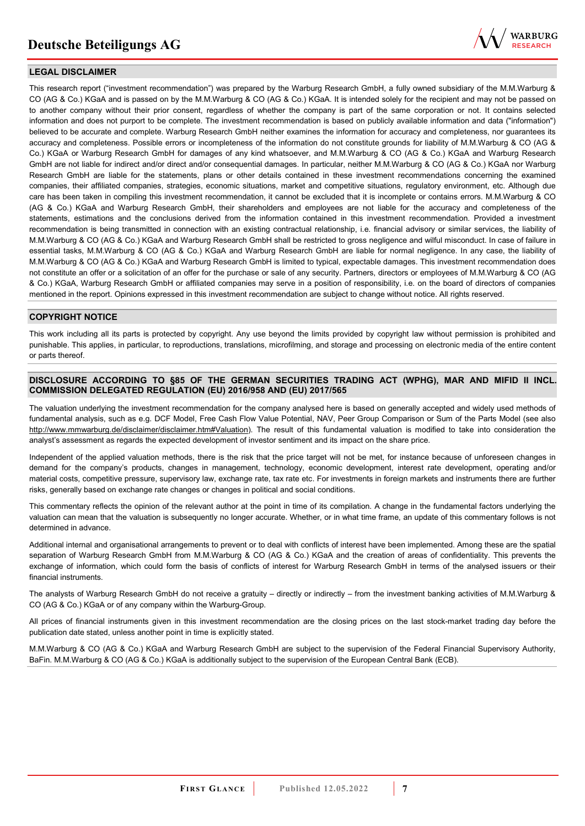

#### **LEGAL DISCLAIMER**

This research report ("investment recommendation") was prepared by the Warburg Research GmbH, a fully owned subsidiary of the M.M.Warburg & CO (AG & Co.) KGaA and is passed on by the M.M.Warburg & CO (AG & Co.) KGaA. It is intended solely for the recipient and may not be passed on to another company without their prior consent, regardless of whether the company is part of the same corporation or not. It contains selected information and does not purport to be complete. The investment recommendation is based on publicly available information and data ("information") believed to be accurate and complete. Warburg Research GmbH neither examines the information for accuracy and completeness, nor guarantees its accuracy and completeness. Possible errors or incompleteness of the information do not constitute grounds for liability of M.M.Warburg & CO (AG & Co.) KGaA or Warburg Research GmbH for damages of any kind whatsoever, and M.M.Warburg & CO (AG & Co.) KGaA and Warburg Research GmbH are not liable for indirect and/or direct and/or consequential damages. In particular, neither M.M.Warburg & CO (AG & Co.) KGaA nor Warburg Research GmbH are liable for the statements, plans or other details contained in these investment recommendations concerning the examined companies, their affiliated companies, strategies, economic situations, market and competitive situations, regulatory environment, etc. Although due care has been taken in compiling this investment recommendation, it cannot be excluded that it is incomplete or contains errors. M.M.Warburg & CO (AG & Co.) KGaA and Warburg Research GmbH, their shareholders and employees are not liable for the accuracy and completeness of the statements, estimations and the conclusions derived from the information contained in this investment recommendation. Provided a investment recommendation is being transmitted in connection with an existing contractual relationship, i.e. financial advisory or similar services, the liability of M.M.Warburg & CO (AG & Co.) KGaA and Warburg Research GmbH shall be restricted to gross negligence and wilful misconduct. In case of failure in essential tasks, M.M.Warburg & CO (AG & Co.) KGaA and Warburg Research GmbH are liable for normal negligence. In any case, the liability of M.M.Warburg & CO (AG & Co.) KGaA and Warburg Research GmbH is limited to typical, expectable damages. This investment recommendation does not constitute an offer or a solicitation of an offer for the purchase or sale of any security. Partners, directors or employees of M.M.Warburg & CO (AG & Co.) KGaA, Warburg Research GmbH or affiliated companies may serve in a position of responsibility, i.e. on the board of directors of companies mentioned in the report. Opinions expressed in this investment recommendation are subject to change without notice. All rights reserved.

#### **COPYRIGHT NOTICE**

This work including all its parts is protected by copyright. Any use beyond the limits provided by copyright law without permission is prohibited and punishable. This applies, in particular, to reproductions, translations, microfilming, and storage and processing on electronic media of the entire content or parts thereof.

#### **DISCLOSURE ACCORDING TO §85 OF THE GERMAN SECURITIES TRADING ACT (WPHG), MAR AND MIFID II INCL. COMMISSION DELEGATED REGULATION (EU) 2016/958 AND (EU) 2017/565**

The valuation underlying the investment recommendation for the company analysed here is based on generally accepted and widely used methods of fundamental analysis, such as e.g. DCF Model, Free Cash Flow Value Potential, NAV, Peer Group Comparison or Sum of the Parts Model (see also [http://www.mmwarburg.de/disclaimer/disclaimer.htm#Valuation\)](http://www.mmwarburg.de/disclaimer/disclaimer.htm#Valuation). The result of this fundamental valuation is modified to take into consideration the analyst's assessment as regards the expected development of investor sentiment and its impact on the share price.

Independent of the applied valuation methods, there is the risk that the price target will not be met, for instance because of unforeseen changes in demand for the company's products, changes in management, technology, economic development, interest rate development, operating and/or material costs, competitive pressure, supervisory law, exchange rate, tax rate etc. For investments in foreign markets and instruments there are further risks, generally based on exchange rate changes or changes in political and social conditions.

This commentary reflects the opinion of the relevant author at the point in time of its compilation. A change in the fundamental factors underlying the valuation can mean that the valuation is subsequently no longer accurate. Whether, or in what time frame, an update of this commentary follows is not determined in advance.

Additional internal and organisational arrangements to prevent or to deal with conflicts of interest have been implemented. Among these are the spatial separation of Warburg Research GmbH from M.M.Warburg & CO (AG & Co.) KGaA and the creation of areas of confidentiality. This prevents the exchange of information, which could form the basis of conflicts of interest for Warburg Research GmbH in terms of the analysed issuers or their financial instruments.

The analysts of Warburg Research GmbH do not receive a gratuity – directly or indirectly – from the investment banking activities of M.M.Warburg & CO (AG & Co.) KGaA or of any company within the Warburg-Group.

All prices of financial instruments given in this investment recommendation are the closing prices on the last stock-market trading day before the publication date stated, unless another point in time is explicitly stated.

M.M.Warburg & CO (AG & Co.) KGaA and Warburg Research GmbH are subject to the supervision of the Federal Financial Supervisory Authority, BaFin. M.M.Warburg & CO (AG & Co.) KGaA is additionally subject to the supervision of the European Central Bank (ECB).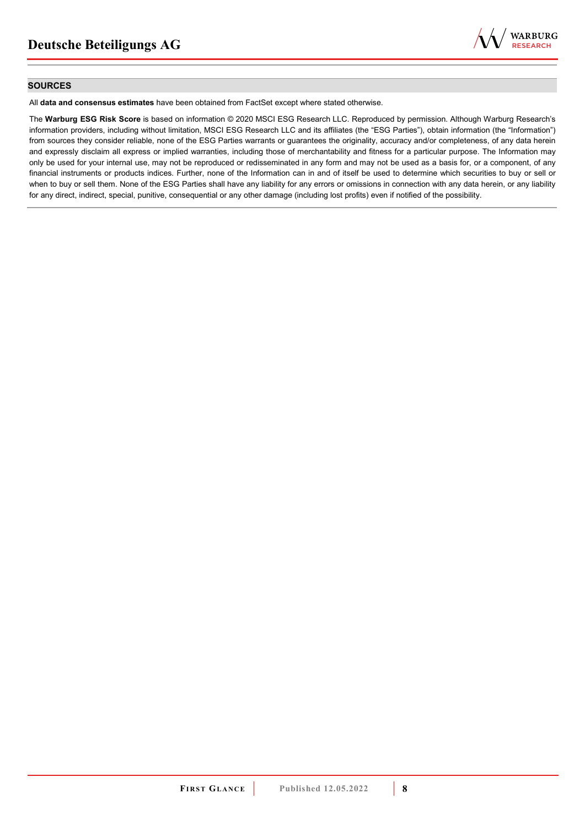

#### **SOURCES**

All **data and consensus estimates** have been obtained from FactSet except where stated otherwise.

The **Warburg ESG Risk Score** is based on information © 2020 MSCI ESG Research LLC. Reproduced by permission. Although Warburg Research's information providers, including without limitation, MSCI ESG Research LLC and its affiliates (the "ESG Parties"), obtain information (the "Information") from sources they consider reliable, none of the ESG Parties warrants or guarantees the originality, accuracy and/or completeness, of any data herein and expressly disclaim all express or implied warranties, including those of merchantability and fitness for a particular purpose. The Information may only be used for your internal use, may not be reproduced or redisseminated in any form and may not be used as a basis for, or a component, of any financial instruments or products indices. Further, none of the Information can in and of itself be used to determine which securities to buy or sell or when to buy or sell them. None of the ESG Parties shall have any liability for any errors or omissions in connection with any data herein, or any liability for any direct, indirect, special, punitive, consequential or any other damage (including lost profits) even if notified of the possibility.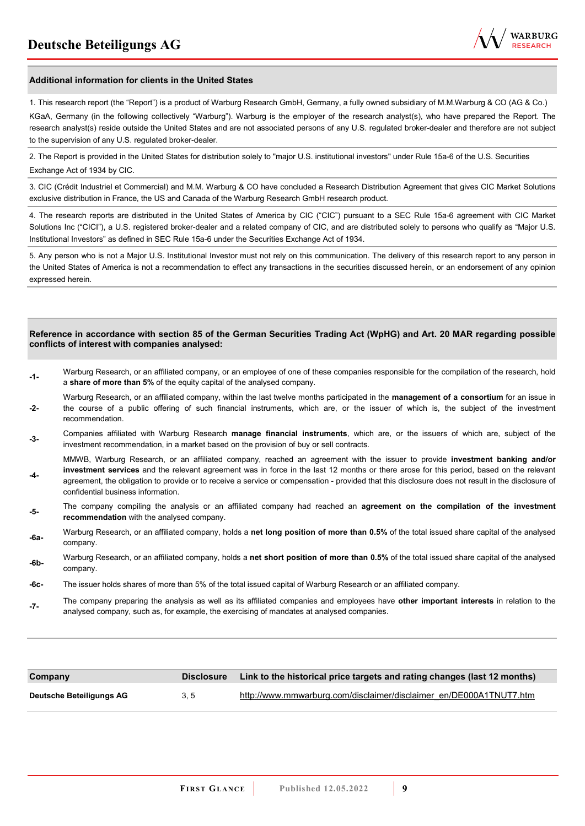

#### **Additional information for clients in the United States**

1. This research report (the "Report") is a product of Warburg Research GmbH, Germany, a fully owned subsidiary of M.M.Warburg & CO (AG & Co.)

KGaA, Germany (in the following collectively "Warburg"). Warburg is the employer of the research analyst(s), who have prepared the Report. The research analyst(s) reside outside the United States and are not associated persons of any U.S. regulated broker-dealer and therefore are not subject to the supervision of any U.S. regulated broker-dealer.

2. The Report is provided in the United States for distribution solely to "major U.S. institutional investors" under Rule 15a-6 of the U.S. Securities Exchange Act of 1934 by CIC.

3. CIC (Crédit Industriel et Commercial) and M.M. Warburg & CO have concluded a Research Distribution Agreement that gives CIC Market Solutions exclusive distribution in France, the US and Canada of the Warburg Research GmbH research product.

4. The research reports are distributed in the United States of America by CIC ("CIC") pursuant to a SEC Rule 15a-6 agreement with CIC Market Solutions Inc ("CICI"), a U.S. registered broker-dealer and a related company of CIC, and are distributed solely to persons who qualify as "Major U.S. Institutional Investors" as defined in SEC Rule 15a-6 under the Securities Exchange Act of 1934.

5. Any person who is not a Major U.S. Institutional Investor must not rely on this communication. The delivery of this research report to any person in the United States of America is not a recommendation to effect any transactions in the securities discussed herein, or an endorsement of any opinion expressed herein.

#### **Reference in accordance with section 85 of the German Securities Trading Act (WpHG) and Art. 20 MAR regarding possible conflicts of interest with companies analysed:**

- **-1-** Warburg Research, or an affiliated company, or an employee of one of these companies responsible for the compilation of the research, hold a **share of more than 5%** of the equity capital of the analysed company.
- **-2-**  Warburg Research, or an affiliated company, within the last twelve months participated in the **management of a consortium** for an issue in the course of a public offering of such financial instruments, which are, or the issuer of which is, the subject of the investment recommendation.
- **-3-** Companies affiliated with Warburg Research **manage financial instruments**, which are, or the issuers of which are, subject of the investment recommendation, in a market based on the provision of buy or sell contracts.

MMWB, Warburg Research, or an affiliated company, reached an agreement with the issuer to provide **investment banking and/or investment services** and the relevant agreement was in force in the last 12 months or there arose for this period, based on the relevant

- **-4**  agreement, the obligation to provide or to receive a service or compensation - provided that this disclosure does not result in the disclosure of confidential business information.
- **-5-** The company compiling the analysis or an affiliated company had reached an **agreement on the compilation of the investment recommendation** with the analysed company.
- **-6a-** Warburg Research, or an affiliated company, holds a **net long position of more than 0.5%** of the total issued share capital of the analysed company.
- **-6b-** Warburg Research, or an affiliated company, holds a **net short position of more than 0.5%** of the total issued share capital of the analysed company.
- **-6c-** The issuer holds shares of more than 5% of the total issued capital of Warburg Research or an affiliated company.
- **-7-** The company preparing the analysis as well as its affiliated companies and employees have **other important interests** in relation to the analysed company, such as, for example, the exercising of mandates at analysed companies.

| Company                  | <b>Disclosure</b> | Link to the historical price targets and rating changes (last 12 months) |
|--------------------------|-------------------|--------------------------------------------------------------------------|
| Deutsche Beteiligungs AG | 3.5               | http://www.mmwarburg.com/disclaimer/disclaimer_en/DE000A1TNUT7.htm       |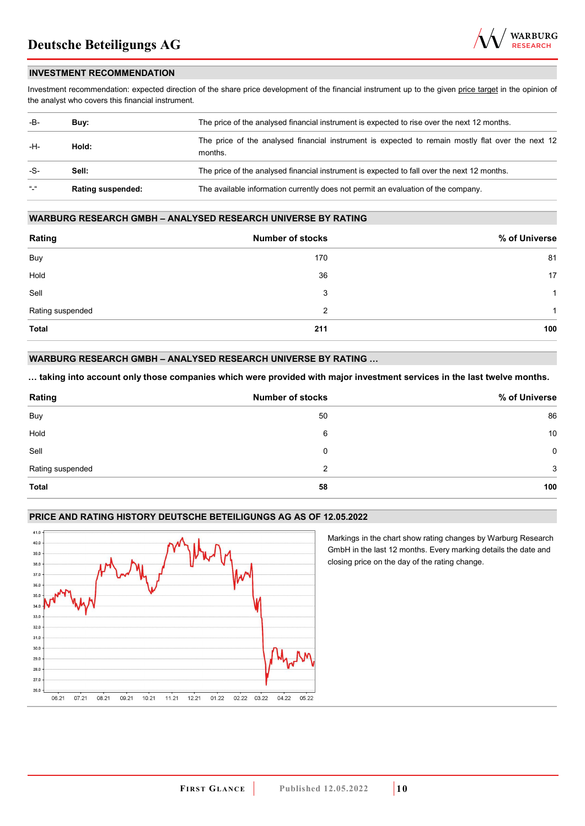

#### **INVESTMENT RECOMMENDATION**

Investment recommendation: expected direction of the share price development of the financial instrument up to the given price target in the opinion of the analyst who covers this financial instrument.

| -B-           | Buy:                     | The price of the analysed financial instrument is expected to rise over the next 12 months.                  |  |
|---------------|--------------------------|--------------------------------------------------------------------------------------------------------------|--|
| -H-<br>Hold:  |                          | The price of the analysed financial instrument is expected to remain mostly flat over the next 12<br>months. |  |
| -S-           | Sell:                    | The price of the analysed financial instrument is expected to fall over the next 12 months.                  |  |
| $\frac{1}{2}$ | <b>Rating suspended:</b> | The available information currently does not permit an evaluation of the company.                            |  |

#### **WARBURG RESEARCH GMBH – ANALYSED RESEARCH UNIVERSE BY RATING**

| Rating           | <b>Number of stocks</b> | % of Universe |
|------------------|-------------------------|---------------|
| Buy              | 170                     | 81            |
| Hold             | 36                      | 17            |
| Sell             | 3                       | -1            |
| Rating suspended | 2                       | 1             |
| <b>Total</b>     | 211                     | 100           |

#### **WARBURG RESEARCH GMBH – ANALYSED RESEARCH UNIVERSE BY RATING …**

**… taking into account only those companies which were provided with major investment services in the last twelve months.** 

| Rating           | <b>Number of stocks</b> | % of Universe |
|------------------|-------------------------|---------------|
| Buy              | 50                      | 86            |
| Hold             | 6                       | 10            |
| Sell             | 0                       | $\mathbf 0$   |
| Rating suspended | 2                       | 3             |
| <b>Total</b>     | 58                      | 100           |

#### **PRICE AND RATING HISTORY DEUTSCHE BETEILIGUNGS AG AS OF 12.05.2022**



Markings in the chart show rating changes by Warburg Research GmbH in the last 12 months. Every marking details the date and closing price on the day of the rating change.